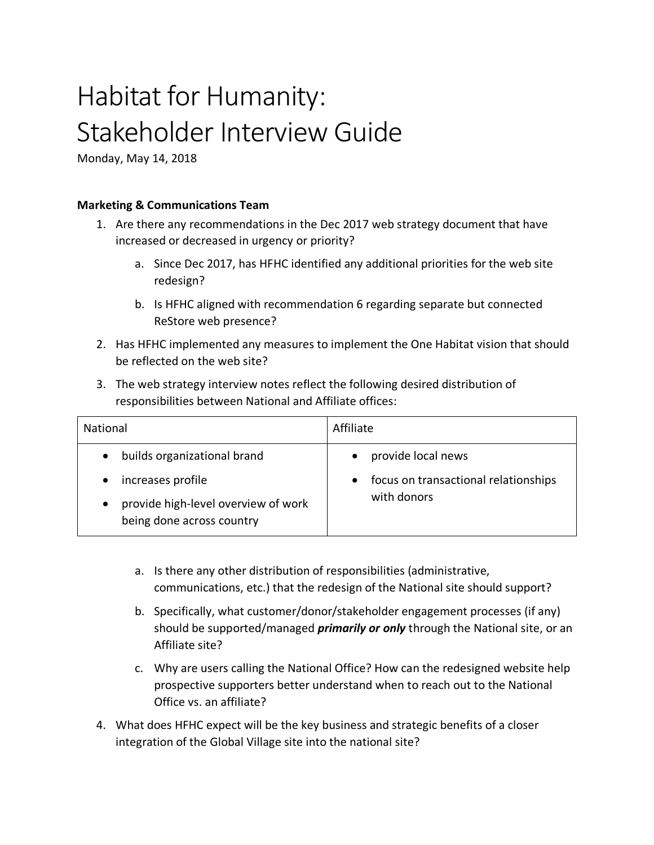# Habitat for Humanity: Stakeholder Interview Guide

Monday, May 14, 2018

## **Marketing & Communications Team**

- 1. Are there any recommendations in the Dec 2017 web strategy document that have increased or decreased in urgency or priority?
	- a. Since Dec 2017, has HFHC identified any additional priorities for the web site redesign?
	- b. Is HFHC aligned with recommendation 6 regarding separate but connected ReStore web presence?
- 2. Has HFHC implemented any measures to implement the One Habitat vision that should be reflected on the web site?
- 3. The web strategy interview notes reflect the following desired distribution of responsibilities between National and Affiliate offices:

| <b>National</b>                                                                                                                                | Affiliate                                                                 |
|------------------------------------------------------------------------------------------------------------------------------------------------|---------------------------------------------------------------------------|
| builds organizational brand<br>$\bullet$<br>increases profile<br>provide high-level overview of work<br>$\bullet$<br>being done across country | provide local news<br>focus on transactional relationships<br>with donors |

- a. Is there any other distribution of responsibilities (administrative, communications, etc.) that the redesign of the National site should support?
- b. Specifically, what customer/donor/stakeholder engagement processes (if any) should be supported/managed *primarily or only* through the National site, or an Affiliate site?
- c. Why are users calling the National Office? How can the redesigned website help prospective supporters better understand when to reach out to the National Office vs. an affiliate?
- 4. What does HFHC expect will be the key business and strategic benefits of a closer integration of the Global Village site into the national site?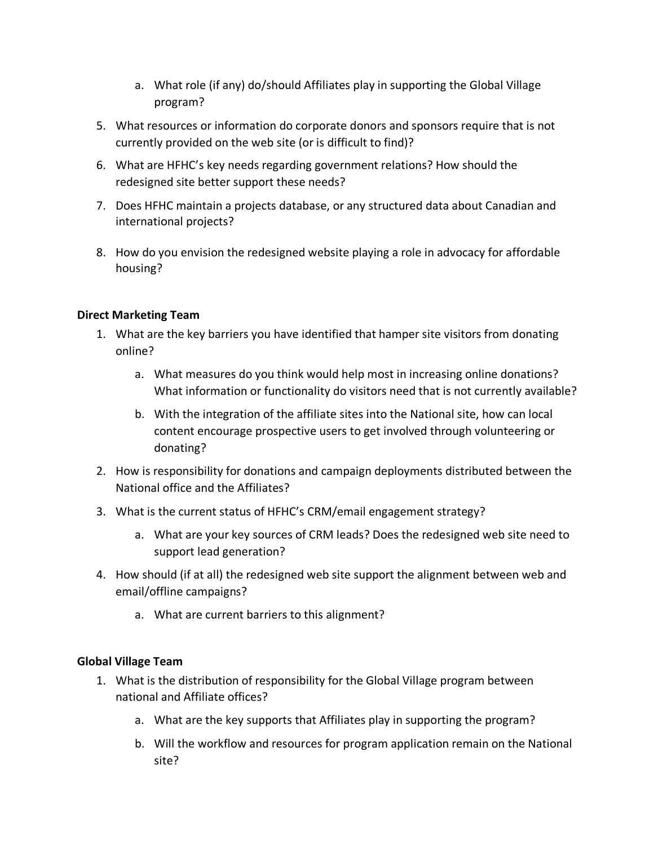- a. What role (if any) do/should Affiliates play in supporting the Global Village program?
- 5. What resources or information do corporate donors and sponsors require that is not currently provided on the web site (or is difficult to find)?
- 6. What are HFHC's key needs regarding government relations? How should the redesigned site better support these needs?
- 7. Does HFHC maintain a projects database, or any structured data about Canadian and international projects?
- 8. How do you envision the redesigned website playing a role in advocacy for affordable housing?

# **Direct Marketing Team**

- 1. What are the key barriers you have identified that hamper site visitors from donating online?
	- a. What measures do you think would help most in increasing online donations? What information or functionality do visitors need that is not currently available?
	- b. With the integration of the affiliate sites into the National site, how can local content encourage prospective users to get involved through volunteering or donating?
- 2. How is responsibility for donations and campaign deployments distributed between the National office and the Affiliates?
- 3. What is the current status of HFHC's CRM/email engagement strategy?
	- a. What are your key sources of CRM leads? Does the redesigned web site need to support lead generation?
- 4. How should (if at all) the redesigned web site support the alignment between web and email/offline campaigns?
	- a. What are current barriers to this alignment?

# **Global Village Team**

- 1. What is the distribution of responsibility for the Global Village program between national and Affiliate offices?
	- a. What are the key supports that Affiliates play in supporting the program?
	- b. Will the workflow and resources for program application remain on the National site?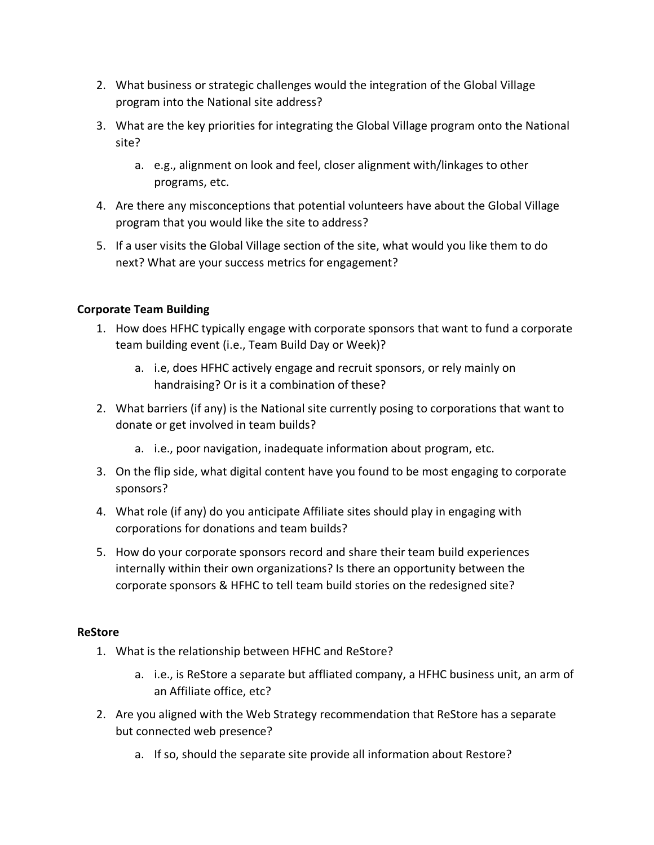- 2. What business or strategic challenges would the integration of the Global Village program into the National site address?
- 3. What are the key priorities for integrating the Global Village program onto the National site?
	- a. e.g., alignment on look and feel, closer alignment with/linkages to other programs, etc.
- 4. Are there any misconceptions that potential volunteers have about the Global Village program that you would like the site to address?
- 5. If a user visits the Global Village section of the site, what would you like them to do next? What are your success metrics for engagement?

## **Corporate Team Building**

- 1. How does HFHC typically engage with corporate sponsors that want to fund a corporate team building event (i.e., Team Build Day or Week)?
	- a. i.e, does HFHC actively engage and recruit sponsors, or rely mainly on handraising? Or is it a combination of these?
- 2. What barriers (if any) is the National site currently posing to corporations that want to donate or get involved in team builds?
	- a. i.e., poor navigation, inadequate information about program, etc.
- 3. On the flip side, what digital content have you found to be most engaging to corporate sponsors?
- 4. What role (if any) do you anticipate Affiliate sites should play in engaging with corporations for donations and team builds?
- 5. How do your corporate sponsors record and share their team build experiences internally within their own organizations? Is there an opportunity between the corporate sponsors & HFHC to tell team build stories on the redesigned site?

#### **ReStore**

- 1. What is the relationship between HFHC and ReStore?
	- a. i.e., is ReStore a separate but affliated company, a HFHC business unit, an arm of an Affiliate office, etc?
- 2. Are you aligned with the Web Strategy recommendation that ReStore has a separate but connected web presence?
	- a. If so, should the separate site provide all information about Restore?